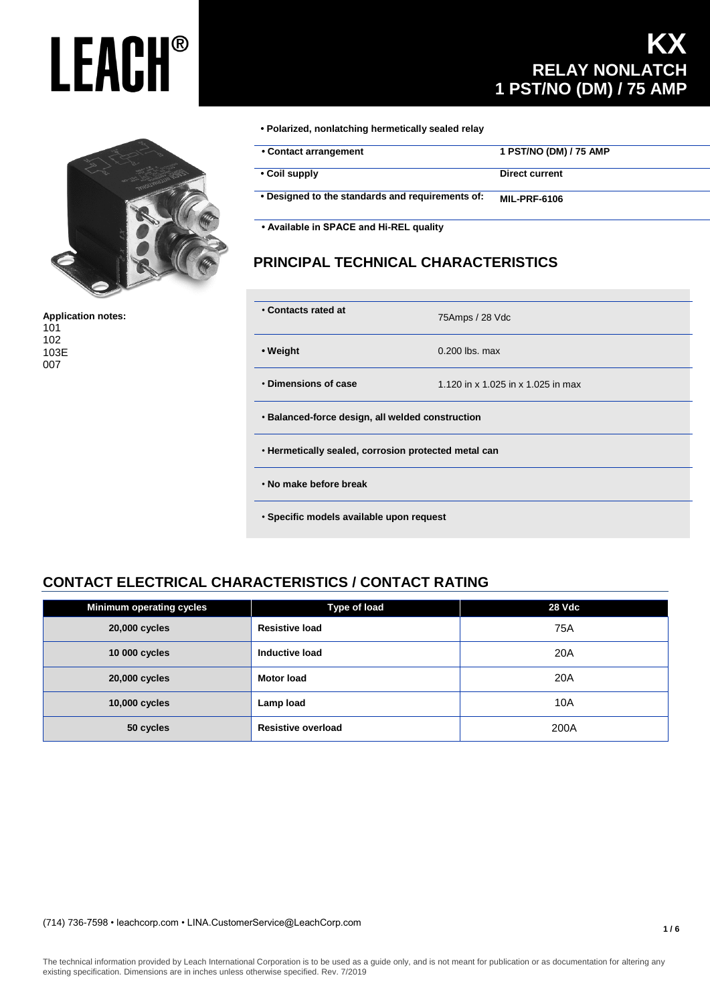

**Application notes:** 101 102 103E 007

### **KX RELAY NONLATCH 1 PST/NO (DM) / 75 AMP**

**• Polarized, nonlatching hermetically sealed relay** 

| • Contact arrangement                            | 1 PST/NO (DM) / 75 AMP |
|--------------------------------------------------|------------------------|
| • Coil supply                                    | Direct current         |
| . Designed to the standards and requirements of: | <b>MIL-PRF-6106</b>    |

 **• Available in SPACE and Hi-REL quality**

### **PRINCIPAL TECHNICAL CHARACTERISTICS**

| • Contacts rated at                                  | 75Amps / 28 Vdc                    |  |  |
|------------------------------------------------------|------------------------------------|--|--|
| • Weight                                             | $0.200$ lbs. max                   |  |  |
| • Dimensions of case                                 | 1.120 in x 1.025 in x 1.025 in max |  |  |
| • Balanced-force design, all welded construction     |                                    |  |  |
| . Hermetically sealed, corrosion protected metal can |                                    |  |  |
| . No make before break                               |                                    |  |  |
| · Specific models available upon request             |                                    |  |  |

### **CONTACT ELECTRICAL CHARACTERISTICS / CONTACT RATING**

| <b>Minimum operating cycles</b> | <b>Type of load</b>       | 28 Vdc |
|---------------------------------|---------------------------|--------|
| 20,000 cycles                   | <b>Resistive load</b>     | 75A    |
| 10 000 cycles                   | Inductive load            | 20A    |
| 20,000 cycles                   | <b>Motor load</b>         | 20A    |
| 10,000 cycles                   | Lamp load                 | 10A    |
| 50 cycles                       | <b>Resistive overload</b> | 200A   |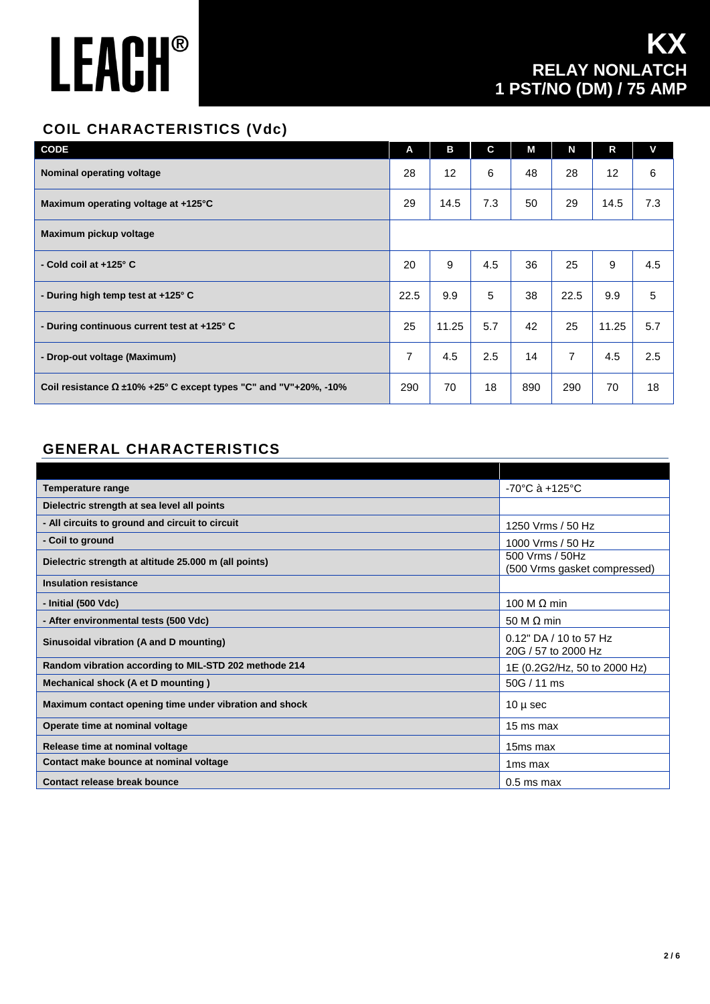### **COIL CHARACTERISTICS (Vdc)**

| <b>CODE</b>                                                             | A              | в     | C   | M   | N              | R     | V   |
|-------------------------------------------------------------------------|----------------|-------|-----|-----|----------------|-------|-----|
| <b>Nominal operating voltage</b>                                        | 28             | 12    | 6   | 48  | 28             | 12    | 6   |
| Maximum operating voltage at +125°C                                     | 29             | 14.5  | 7.3 | 50  | 29             | 14.5  | 7.3 |
| Maximum pickup voltage                                                  |                |       |     |     |                |       |     |
| - Cold coil at +125° C                                                  | 20             | 9     | 4.5 | 36  | 25             | 9     | 4.5 |
| - During high temp test at +125° C                                      | 22.5           | 9.9   | 5   | 38  | 22.5           | 9.9   | 5   |
| - During continuous current test at +125° C                             | 25             | 11.25 | 5.7 | 42  | 25             | 11.25 | 5.7 |
| - Drop-out voltage (Maximum)                                            | $\overline{7}$ | 4.5   | 2.5 | 14  | $\overline{7}$ | 4.5   | 2.5 |
| Coil resistance $\Omega$ ±10% +25° C except types "C" and "V"+20%, -10% | 290            | 70    | 18  | 890 | 290            | 70    | 18  |

### **GENERAL CHARACTERISTICS**

| Temperature range                                      | $-70^{\circ}$ C à $+125^{\circ}$ C              |  |  |  |
|--------------------------------------------------------|-------------------------------------------------|--|--|--|
| Dielectric strength at sea level all points            |                                                 |  |  |  |
| - All circuits to ground and circuit to circuit        | 1250 Vrms / 50 Hz                               |  |  |  |
| - Coil to ground                                       | 1000 Vrms / 50 Hz                               |  |  |  |
| Dielectric strength at altitude 25.000 m (all points)  | 500 Vrms / 50Hz<br>(500 Vrms gasket compressed) |  |  |  |
| <b>Insulation resistance</b>                           |                                                 |  |  |  |
| - Initial (500 Vdc)                                    | 100 M $\Omega$ min                              |  |  |  |
| - After environmental tests (500 Vdc)                  | 50 M $\Omega$ min                               |  |  |  |
| Sinusoidal vibration (A and D mounting)                | 0.12" DA / 10 to 57 Hz<br>20G / 57 to 2000 Hz   |  |  |  |
| Random vibration according to MIL-STD 202 methode 214  | 1E (0.2G2/Hz, 50 to 2000 Hz)                    |  |  |  |
| Mechanical shock (A et D mounting)                     | 50G / 11 ms                                     |  |  |  |
| Maximum contact opening time under vibration and shock | $10 \mu$ sec                                    |  |  |  |
| Operate time at nominal voltage                        | 15 ms max                                       |  |  |  |
| Release time at nominal voltage                        | 15ms max                                        |  |  |  |
| Contact make bounce at nominal voltage                 | 1 <sub>ms max</sub>                             |  |  |  |
| Contact release break bounce                           | $0.5$ ms max                                    |  |  |  |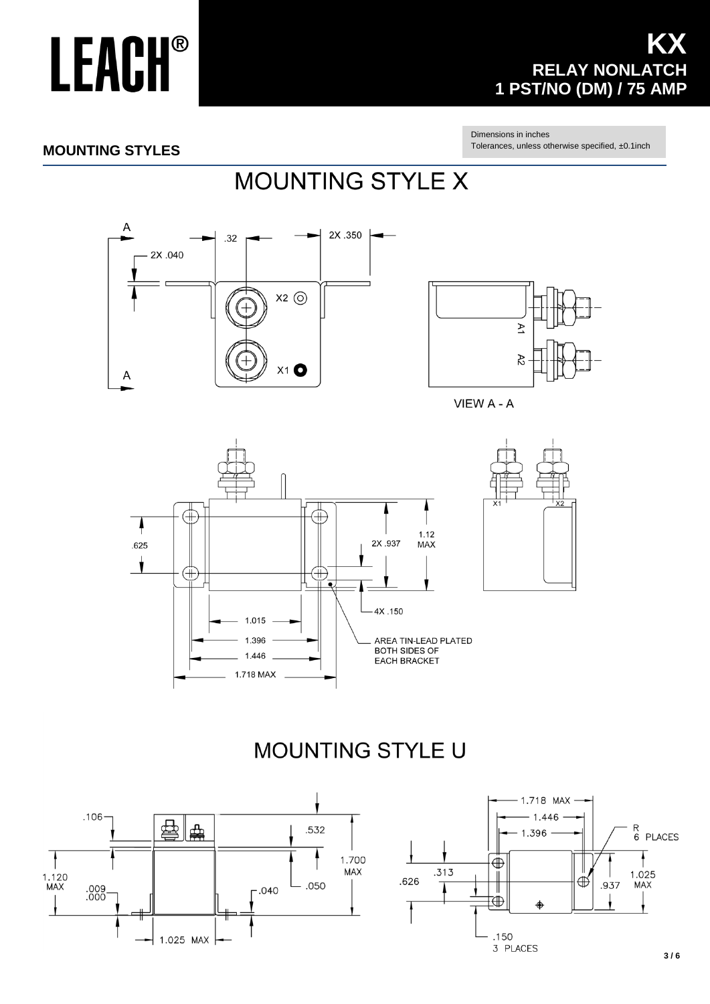### **KX RELAY NONLATCH 1 PST/NO (DM) / 75 AMP**

Dimensions in inches Tolerances, unless otherwise specified, ±0.1inch

#### **MOUNTING STYLES**

## **MOUNTING STYLE X**





VIEW A - A



## **MOUNTING STYLE U**

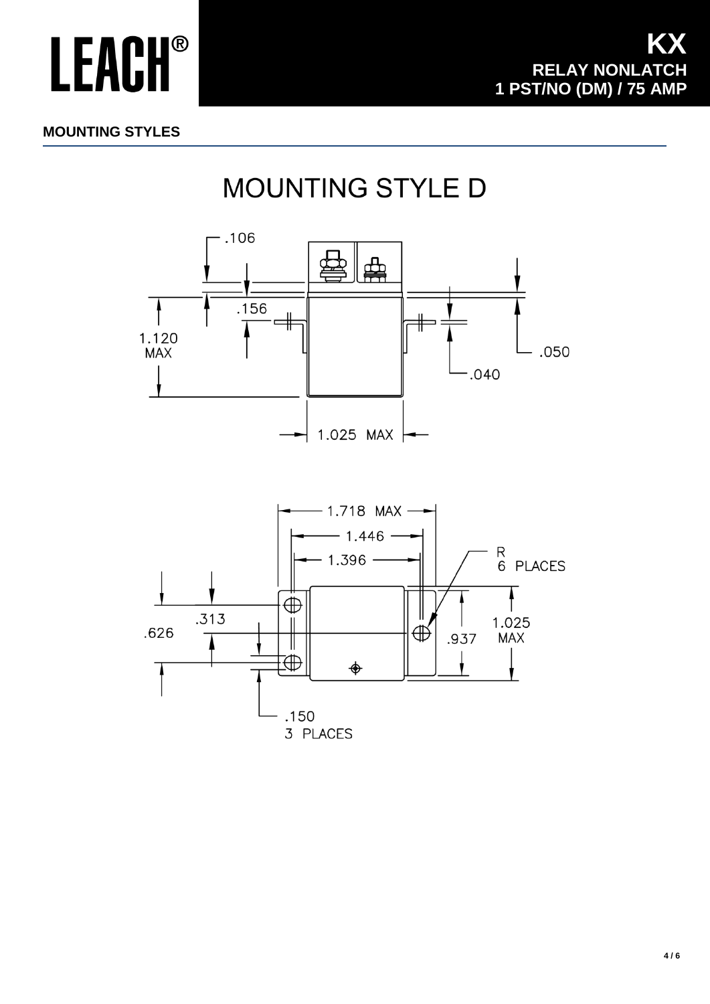#### **MOUNTING STYLES**

## MOUNTING STYLE D

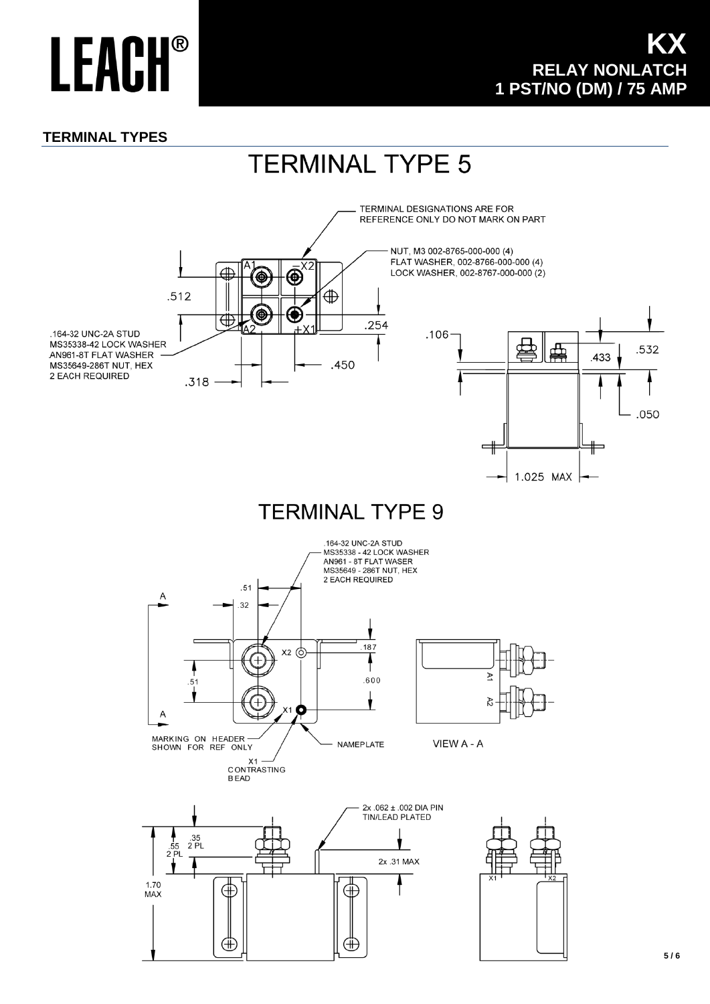#### **TERMINAL TYPES**